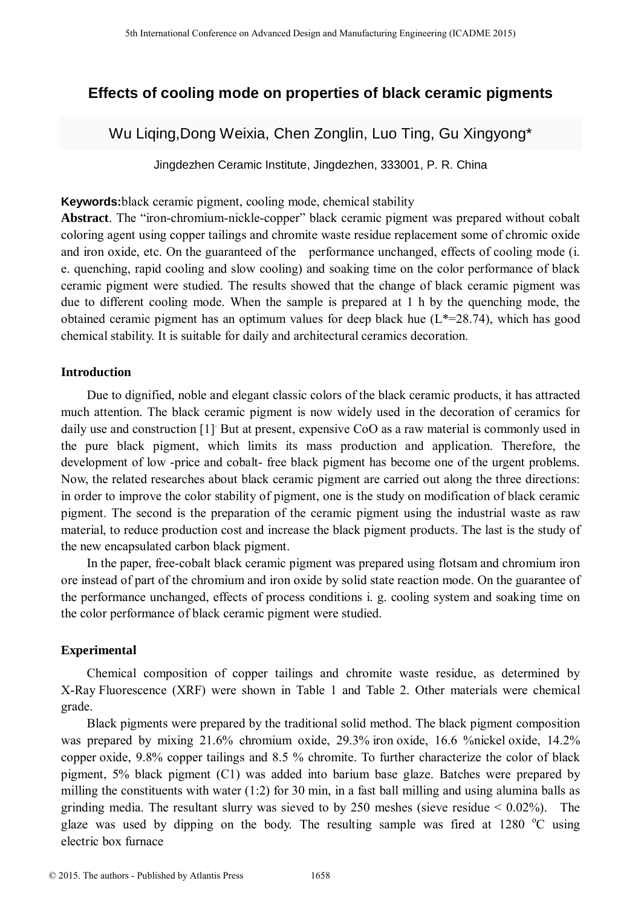# **Effects of cooling mode on properties of black ceramic pigments**

Wu Liqing,Dong Weixia, Chen Zonglin, Luo Ting, Gu Xingyong\*

Jingdezhen Ceramic Institute, Jingdezhen, 333001, P. R. China

**Keywords:**black ceramic pigment, cooling mode, chemical stability

**Abstract**. The "iron-chromium-nickle-copper" black ceramic pigment was prepared without cobalt coloring agent using copper tailings and chromite waste residue replacement some of chromic oxide and iron oxide, etc. On the guaranteed of the performance unchanged, effects of cooling mode (i. e. quenching, rapid cooling and slow cooling) and soaking time on the color performance of black ceramic pigment were studied. The results showed that the change of black ceramic pigment was due to different cooling mode. When the sample is prepared at 1 h by the quenching mode, the obtained ceramic pigment has an optimum values for deep black hue  $(L*-28.74)$ , which has good chemical stability. It is suitable for daily and architectural ceramics decoration.

# **Introduction**

Due to dignified, noble and elegant classic colors of the black ceramic products, it has attracted much attention. The black ceramic pigment is now widely used in the decoration of ceramics for daily use and construction [1]. But at present, expensive CoO as a raw material is commonly used in the pure black pigment, which limits its mass production and application. Therefore, the development of low -price and cobalt- free black pigment has become one of the urgent problems. Now, the related researches about black ceramic pigment are carried out along the three directions: in order to improve the color stability of pigment, one is the study on modification of black ceramic pigment. The second is the preparation of the ceramic pigment using the industrial waste as raw material, to reduce production cost and increase the black pigment products. The last is the study of the new encapsulated carbon black pigment. <sup>516</sup> the terminant Conference on Advanced Design and Manufacturing Engineering (**ICAL Conference of the Conference of the Conference of the Conference of the Conference of the Conference of the Conference of the Conferen** 

In the paper, free-cobalt black ceramic pigment was prepared using flotsam and chromium iron ore instead of part of the chromium and iron oxide by solid state reaction mode. On the guarantee of the performance unchanged, effects of process conditions i. g. cooling system and soaking time on the color performance of black ceramic pigment were studied.

# **Experimental**

Chemical composition of copper tailings and chromite waste residue, as determined by X-Ray Fluorescence (XRF) were shown in Table 1 and Table 2. Other materials were chemical grade.

Black pigments were prepared by the traditional solid method. The black pigment composition was prepared by mixing 21.6% chromium oxide, 29.3% iron oxide, 16.6 %nickel oxide, 14.2% copper oxide, 9.8% copper tailings and 8.5 % chromite. To further characterize the color of black pigment, 5% black pigment (C1) was added into barium base glaze. Batches were prepared by milling the constituents with water (1:2) for 30 min, in a fast ball milling and using alumina balls as grinding media. The resultant slurry was sieved to by 250 meshes (sieve residue  $< 0.02\%$ ). The glaze was used by dipping on the body. The resulting sample was fired at  $1280^{\circ}$ C using electric box furnace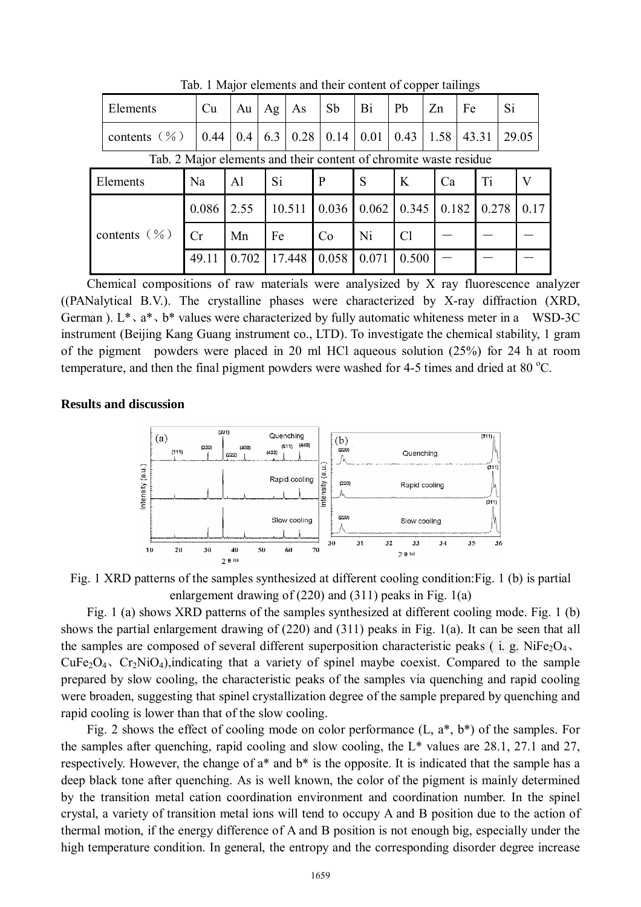|                                                                         | Elements         | Cu    | Au    | Ag  | As     | Sb    | Bi    | Pb             | Zn   | Fe    |       | Si |       |
|-------------------------------------------------------------------------|------------------|-------|-------|-----|--------|-------|-------|----------------|------|-------|-------|----|-------|
|                                                                         | contents $(\% )$ | 0.44  | 0.4   | 6.3 | 0.28   | 0.14  | 0.01  | 0.43           | 1.58 |       | 43.31 |    | 29.05 |
| Tab. 2 Major elements and their content of chromite waste residue<br>Ca |                  |       |       |     |        |       |       |                |      |       |       |    |       |
|                                                                         | Elements         | Na    | Al    | Si  |        | P     | S     | $\bf{K}$       |      |       | Ti    |    | V     |
|                                                                         |                  | 0.086 | 2.55  |     | 10.511 | 0.036 | 0.062 | 0.345          |      | 0.182 | 0.278 |    | 0.17  |
| contents $(\% )$                                                        |                  | Cr    | Mn    | Fe  |        | Co    | Ni    | C <sub>1</sub> |      |       |       |    |       |
|                                                                         |                  | 49.11 | 0.702 |     | 17.448 | 0.058 | 0.071 | 0.500          |      |       |       |    |       |

Tab. 1 Major elements and their content of copper tailings

Chemical compositions of raw materials were analysized by X ray fluorescence analyzer ((PANalytical B.V.). The crystalline phases were characterized by X-ray diffraction (XRD, German).  $L^*$ ,  $a^*$ ,  $b^*$  values were characterized by fully automatic whiteness meter in a WSD-3C instrument (Beijing Kang Guang instrument co., LTD). To investigate the chemical stability, 1 gram of the pigment powders were placed in 20 ml HCl aqueous solution (25%) for 24 h at room temperature, and then the final pigment powders were washed for 4-5 times and dried at 80  $^{\circ}$ C.

#### **Results and discussion**



Fig. 1 XRD patterns of the samples synthesized at different cooling condition:Fig. 1 (b) is partial enlargement drawing of (220) and (311) peaks in Fig. 1(a)

Fig. 1 (a) shows XRD patterns of the samples synthesized at different cooling mode. Fig. 1 (b) shows the partial enlargement drawing of (220) and (311) peaks in Fig. 1(a). It can be seen that all the samples are composed of several different superposition characteristic peaks ( i. g. NiFe<sub>2</sub>O<sub>4</sub>,  $CuFe<sub>2</sub>O<sub>4</sub>$ ,  $Cr<sub>2</sub>NiO<sub>4</sub>$ ),indicating that a variety of spinel maybe coexist. Compared to the sample prepared by slow cooling, the characteristic peaks of the samples via quenching and rapid cooling were broaden, suggesting that spinel crystallization degree of the sample prepared by quenching and rapid cooling is lower than that of the slow cooling.

Fig. 2 shows the effect of cooling mode on color performance (L, a\*, b\*) of the samples. For the samples after quenching, rapid cooling and slow cooling, the L\* values are 28.1, 27.1 and 27, respectively. However, the change of a\* and b\* is the opposite. It is indicated that the sample has a deep black tone after quenching. As is well known, the color of the pigment is mainly determined by the transition metal cation coordination environment and coordination number. In the spinel crystal, a variety of transition metal ions will tend to occupy A and B position due to the action of thermal motion, if the energy difference of A and B position is not enough big, especially under the high temperature condition. In general, the entropy and the corresponding disorder degree increase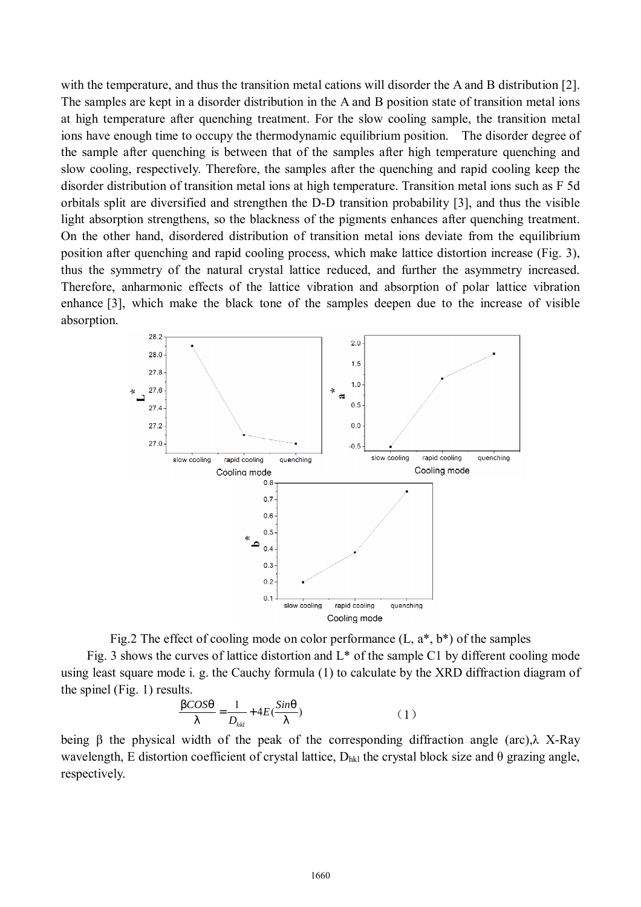with the temperature, and thus the transition metal cations will disorder the A and B distribution [2]. The samples are kept in a disorder distribution in the A and B position state of transition metal ions at high temperature after quenching treatment. For the slow cooling sample, the transition metal ions have enough time to occupy the thermodynamic equilibrium position. The disorder degree of the sample after quenching is between that of the samples after high temperature quenching and slow cooling, respectively. Therefore, the samples after the quenching and rapid cooling keep the disorder distribution of transition metal ions at high temperature. Transition metal ions such as F 5d orbitals split are diversified and strengthen the D-D transition probability [3], and thus the visible light absorption strengthens, so the blackness of the pigments enhances after quenching treatment. On the other hand, disordered distribution of transition metal ions deviate from the equilibrium position after quenching and rapid cooling process, which make lattice distortion increase (Fig. 3), thus the symmetry of the natural crystal lattice reduced, and further the asymmetry increased. Therefore, anharmonic effects of the lattice vibration and absorption of polar lattice vibration enhance [3], which make the black tone of the samples deepen due to the increase of visible absorption.





Fig. 3 shows the curves of lattice distortion and  $L^*$  of the sample C1 by different cooling mode using least square mode i. g. the Cauchy formula (1) to calculate by the XRD diffraction diagram of the spinel (Fig. 1) results.

$$
\frac{bCOSq}{I} = \frac{1}{D_{hkl}} + 4E(\frac{Sing}{I})
$$
 (1)

being β the physical width of the peak of the corresponding diffraction angle (arc),λ X-Ray wavelength, E distortion coefficient of crystal lattice,  $D_{hkl}$  the crystal block size and  $\theta$  grazing angle, respectively.